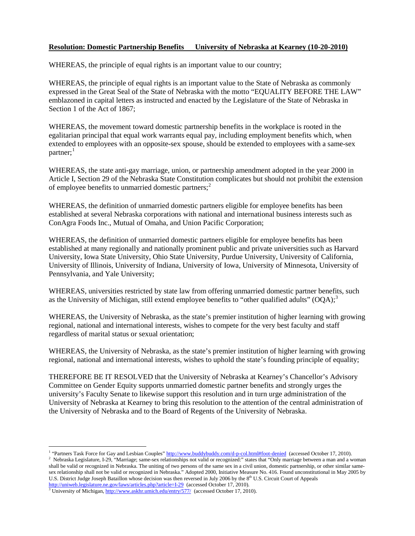## **Resolution: Domestic Partnership Benefits University of Nebraska at Kearney (10-20-2010)**

WHEREAS, the principle of equal rights is an important value to our country;

WHEREAS, the principle of equal rights is an important value to the State of Nebraska as commonly expressed in the Great Seal of the State of Nebraska with the motto "EQUALITY BEFORE THE LAW" emblazoned in capital letters as instructed and enacted by the Legislature of the State of Nebraska in Section 1 of the Act of 1867;

WHEREAS, the movement toward domestic partnership benefits in the workplace is rooted in the egalitarian principal that equal work warrants equal pay, including employment benefits which, when extended to employees with an opposite-sex spouse, should be extended to employees with a same-sex partner;<sup>[1](#page-0-0)</sup>

WHEREAS, the state anti-gay marriage, union, or partnership amendment adopted in the year 2000 in Article I, Section 29 of the Nebraska State Constitution complicates but should not prohibit the extension of employee benefits to unmarried domestic partners;  $2^2$  $2^2$ 

WHEREAS, the definition of unmarried domestic partners eligible for employee benefits has been established at several Nebraska corporations with national and international business interests such as ConAgra Foods Inc., Mutual of Omaha, and Union Pacific Corporation;

WHEREAS, the definition of unmarried domestic partners eligible for employee benefits has been established at many regionally and nationally prominent public and private universities such as Harvard University, Iowa State University, Ohio State University, Purdue University, University of California, University of Illinois, University of Indiana, University of Iowa, University of Minnesota, University of Pennsylvania, and Yale University;

WHEREAS, universities restricted by state law from offering unmarried domestic partner benefits, such as the University of Michigan, still extend employee benefits to "other qualified adults"  $(OOA)$ ;

WHEREAS, the University of Nebraska, as the state's premier institution of higher learning with growing regional, national and international interests, wishes to compete for the very best faculty and staff regardless of marital status or sexual orientation;

WHEREAS, the University of Nebraska, as the state's premier institution of higher learning with growing regional, national and international interests, wishes to uphold the state's founding principle of equality;

THEREFORE BE IT RESOLVED that the University of Nebraska at Kearney's Chancellor's Advisory Committee on Gender Equity supports unmarried domestic partner benefits and strongly urges the university's Faculty Senate to likewise support this resolution and in turn urge administration of the University of Nebraska at Kearney to bring this resolution to the attention of the central administration of the University of Nebraska and to the Board of Regents of the University of Nebraska.

<span id="page-0-0"></span><sup>&</sup>lt;sup>1</sup> "Partners Task Force for Gay and Lesbian Couples[" http://www.buddybuddy.com/d-p-col.html#foot-denied](http://www.buddybuddy.com/d-p-col.html#foot-denied) (accessed October 17, 2010).

<span id="page-0-1"></span>Nebraska Legislature, I-29, "Marriage; same-sex relationships not valid or recognized:" states that "Only marriage between a man and a woman shall be valid or recognized in Nebraska. The uniting of two persons of the same sex in a civil union, domestic partnership, or other similar samesex relationship shall not be valid or recognized in Nebraska." Adopted 2000, Initiative Measure No. 416. Found unconstitutional in May 2005 by U.S. District Judge Joseph Bataillon whose decision was then reversed in July 2006 by the  $8<sup>th</sup>$  U.S. Circuit Court of Appeals <http://uniweb.legislature.ne.gov/laws/articles.php?article=I-29>(accessed October 17, 2010).

<span id="page-0-2"></span> $3$  University of Michigan[, http://www.askhr.umich.edu/entry/577/](http://www.askhr.umich.edu/entry/577/) (accessed October 17, 2010).